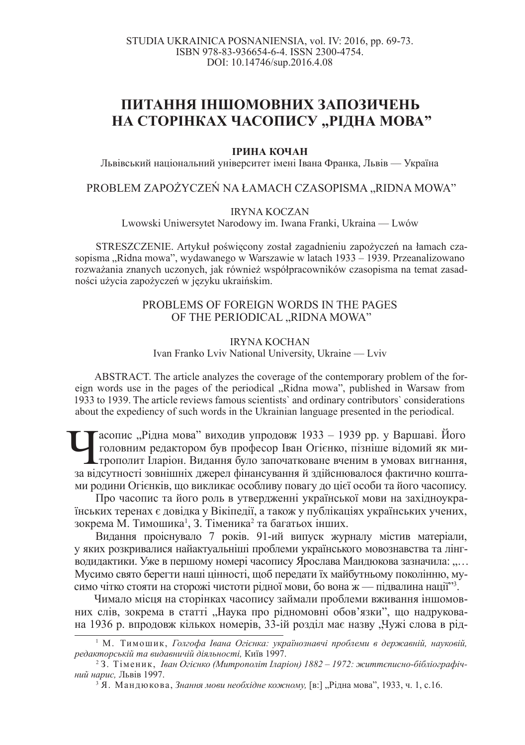# ПИТАННЯ ІНШОМОВНИХ ЗАПОЗИЧЕНЬ НА СТОРІНКАХ ЧАСОПИСУ "РІДНА МОВА"

#### **ІРИНА КОЧАН**

Львівський національний університет імені Івана Франка, Львів — Україна

## PROBLEM ZAPOŻYCZEŃ NA ŁAMACH CZASOPISMA "RIDNA MOWA"

#### IRYNA KOCZAN

Lwowski Uniwersytet Narodowy im. Iwana Franki, Ukraina — Lwów

STRESZCZENIE. Artykuł poświęcony został zagadnieniu zapożyczeń na łamach czasopisma "Ridna mowa", wydawanego w Warszawie w latach 1933 – 1939. Przeanalizowano rozważania znanych uczonych, jak również współpracowników czasopisma na temat zasadności użycia zapożyczeń w języku ukraińskim.

## PROBLEMS OF FOREIGN WORDS IN THE PAGES OF THE PERIODICAL "RIDNA MOWA"

#### IRYNA KOCHAN Ivan Franko Lviv National University, Ukraine — Lviv

ABSTRACT. The article analyzes the coverage of the contemporary problem of the foreign words use in the pages of the periodical "Ridna mowa", published in Warsaw from 1933 to 1939. The article reviews famous scientists` and ordinary contributors` considerations about the expediency of such words in the Ukrainian language presented in the periodical.

С Сасопис "Рідна мова" виходив упродовж 1933 - 1939 рр. у Варшаві. Його головним редактором був професор Іван Огієнко, пізніше відомий як ми-трополит Іларіон. Видання було започатковане вченим в умовах вигнання, за відсут  $\blacksquare$ асопис "Рідна мова" виходив упродовж 1933 – 1939 рр. у Варшаві. Його головним редактором був професор Іван Огієнко, пізніше відомий як ми-Аль трополит Іларіон. Видання було започатковане вченим в умовах вигнання, ми родини Огієнків, що викликає особливу повагу до цієї особи та його часопису.

Про часопис та його роль в утвердженні української мови на західноукраїнських теренах є довідка у Вікіпедії, а також у публікаціях українських учених, зокрема М. Тимошика<sup>1</sup>, З. Тіменика<sup>2</sup> та багатьох інших.

Видання проіснувало 7 років. 91-ий випуск журналу містив матеріали, у яких розкривалися найактуальніші проблеми українського мовознавства та лінгводидактики. Уже в першому номері часопису Ярослава Мандюкова зазначила: "… Мусимо свято берегти наші цінності, щоб передати їх майбутньому поколінню, мусимо чітко стояти на сторожі чистоти рідної мови, бо вона ж — підвалина нації"<sup>3</sup>.

Чимало місця на сторінках часопису займали проблеми вживання іншомовних слів, зокрема в статті "Наука про рідномовні обов'язки", що надрукована 1936 р. впродовж кількох номерів, 33-ій розділ має назву "Чужі слова в рід-

<sup>&</sup>lt;sup>1</sup> М. Тимошик, Голгофа Івана Огієнка: українознавчі проблеми в державній, науковій,  $pe\partial a$ кторській та видавничій діяльності, Київ 1997.

<sup>&</sup>lt;sup>2</sup>3. Тіменик, *Іван Огієнко (Митрополіт Іларіон) 1882 – 1972: життєписно-бібліографічний нарис*, Львів 1997.

<sup>&</sup>lt;sup>3</sup> Я. Мандюкова, Знання мови необхідне кожному, [в:] "Рідна мова", 1933, ч. 1, с.16.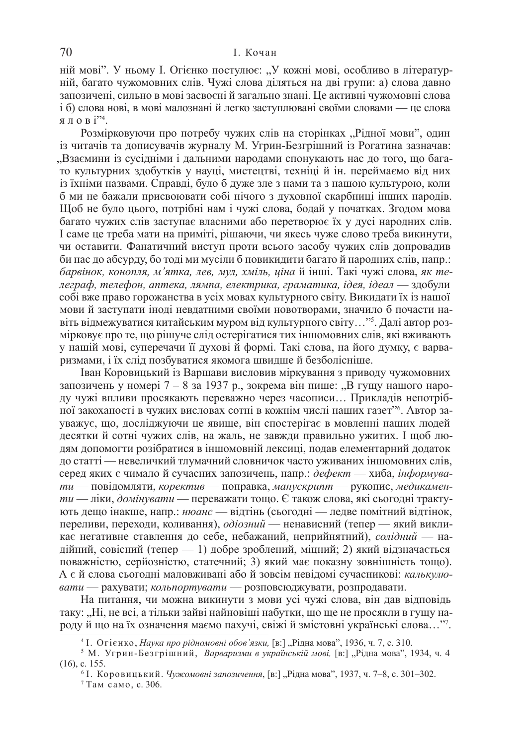### 70 И. Кочан

ній мові". У ньому І. Огієнко постулює: "У кожні мові, особливо в літературній, багато чужомовних слів. Чужі слова діляться на дві групи: а) слова давно запозичені, сильно в мові засвоєні й загально знані. Це активні чужомовні слова і б) слова нові, в мові малознані й легко заступлювані своїми словами — це слова ялові<sup>224</sup>.

Розмірковуючи про потребу чужих слів на сторінках "Рідної мови", один із читачів та дописувачів журналу М. Угрин-Безгрішний із Рогатина зазначав: "Взаємини із сусідніми і дальними народами спонукають нас до того, що багаи культурних здобутків у науці, мистецтві, техніці й ін. переймаємо від них із їхніми назвами. Справді, було б дуже зле з нами та з нашою культурою, коли б ми не бажали присвоювати собі нічого з духовної скарбниці інших народів. Щоб не було цього, потрібні нам і чужі слова, бодай у початках. Згодом мова багато чужих слів заступає власними або перетворює їх у дусі народних слів. I саме це треба мати на приміті, рішаючи, чи якесь чуже слово треба викинути, чи оставити. Фанатичний виступ проти всього засобу чужих слів допровадив би нас до абсурду, бо тоді ми мусіли б повикидити багато й народних слів, напр.:  $6a$ рвінок, конопля, м'ятка, лев, мул, хміль, ціна й інші. Такі чужі слова, як те- $\overline{\text{hezpa}\phi}$ , телефон, аптека, лямпа, електрика, граматика, *ідея*, *ідеал* — здобули собі вже право горожанства в усіх мовах культурного світу. Викидати їх із нашої мови й заступати іноді невдатними своїми новотворами, значило б почасти навіть відмежуватися китайським муром від культурного світу…"<sup>5</sup>. Далі автор розмірковує про те, що рішуче слід остерігатися тих іншомовних слів, які вживають у нашій мові, суперечачи її духові й формі. Такі слова, на його думку, є варваризмами, і їх слід позбуватися якомога швидше й безболісніше.

Iван Коровицький із Варшави висловив міркування з приводу чужомовних запозичень у номері 7 – 8 за 1937 р., зокрема він пише: "В гущу нашого народу чужі впливи просякають переважно через часописи... Прикладів непотрібної закоханості в чужих висловах сотні в кожнім числі наших газет"6. Автор зауважує, що, досліджуючи це явище, він спостерігає в мовленні наших людей десятки й сотні чужих слів, на жаль, не завжди правильно ужитих. І щоб людям допомогти розібратися в іншомовній лексиці, подав елементарний додаток до статті — невеличкий тлумачний словничок часто уживаних іншомовних слів, серед яких є чимало й сучасних запозичень, напр.: дефект — хиба, інформува $m\mu$ — повідомляти, коректив — поправка, манускрипт — рукопис, медикамен $mu$ — ліки, домінувати — переважати тощо. Є також слова, які сьогодні трактують дещо інакше, напр.: нюанс — відтінь (сьогодні — ледве помітний відтінок, переливи, переходи, коливання), одіозний — ненависний (тепер — який викликає негативне ставлення до себе, небажаний, неприйнятний), солідний — надійний, совісний (тепер — 1) добре зроблений, міцний; 2) який відзначається поважністю, серйозністю, статечний; 3) який має показну зовнішність тощо). А є й слова сьогодні маловживані або й зовсім невідомі сучасникові: калькулювати — рахувати; кольпортувати — розповсюджувати, розпродавати.

На питання, чи можна викинути з мови усі чужі слова, він дав відповідь таку: "Ні, не всі, а тільки зайві найновіші набутки, що ще не просякли в гущу народу й що на їх означення маємо пахучі, свіжі й змістовні українські слова..."7.

<sup>&</sup>lt;sup>4</sup> І. Огієнко, *Наука про рідномовні обов'язки*, [в:] "Рідна мова", 1936, ч. 7, с. 310.

<sup>&</sup>lt;sup>5</sup> М. Угрин-Безгрішний, *Варваризми в українській мові*, [в:] "Рідна мова", 1934, ч. 4  $(16)$ , c. 155.

 $^6$  I. Коровицький. *Чужомовні запозичення*, [в:] "Рідна мова", 1937, ч. 7–8, с. 301–302.

 $7$ Там само, с. 306.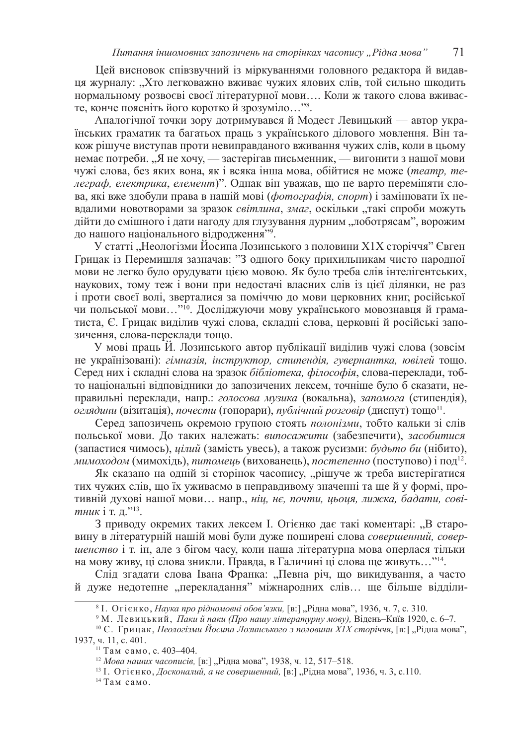Цей висновок співзвучний із міркуваннями головного редактора й видавця журналу: "Хто легковажно вживає чужих ялових слів, той сильно шкодить нормальному розвоєві своєї літературної мови.... Коли ж такого слова вживаєте, конче поясніть його коротко й зрозуміло..."<sup>8</sup>.

Аналогічної точки зору дотримувався й Модест Левицький — автор українських граматик та багатьох праць з українського ділового мовлення. Він також рішуче виступав проти невиправданого вживання чужих слів, коли в цьому немає потреби. "Я не хочу, — застерігав письменник, — вигонити з нашої мови чужі слова, без яких вона, як і всяка інша мова, обійтися не може (*театр*, *те*леграф, електрика, елемент)". Однак він уважав, що не варто переміняти слова, які вже здобули права в нашій мові (фотографія, спорт) і замінювати їх невдалими новотворами за зразок світлина, змаг, оскільки "такі спроби можуть дійти до смішного і дати нагоду для глузування дурним "лоботрясам", ворожим до нашого національного відродження" ?

У статті "Неологізми Йосипа Лозинського з половини X1X сторіччя" Євген Грицак із Перемишля зазначав: "З одного боку прихильникам чисто народної мови не легко було орудувати цією мовою. Як було треба слів інтелігентських, наукових, тому теж і вони при недостачі власних слів із цієї ділянки, не раз і проти своєї волі, зверталися за поміччю до мови церковних книг, російської чи польської мови..."<sup>10</sup>. Досліджуючи мову українського мовознавця й граматиста, Є. Грицак виділив чужі слова, складні слова, церковні й російські запозичення, слова-переклади тощо.

У мові праць Й. Лозинського автор публікації виділив чужі слова (зовсім не українізовані): гімназія, інструктор, стипендія, гувернантка, ювілей тощо. Серед них і складні слова на зразок бібліотека, філософія, слова-переклади, тобто національні відповідники до запозичених лексем, точніше було б сказати, неправильні переклади, напр.: *голосова музика* (вокальна), запомога (стипендія), *оглядини* (візитація), *почести* (гонорари), *публічний розговір* (диспут) тощо<sup>н</sup>.

Серед запозичень окремою групою стоять *полонізми*, тобто кальки зі слів польської мови. До таких належать: випосажити (забезпечити), засобитися (запастися чимось), *иілий* (замість увесь), а також русизми: будьто би (нібито), *мимоходом* (мимохідь), *питомець* (вихованець), *постепенно* (поступово) і под<sup>12</sup>.

Як сказано на одній зі сторінок часопису, "рішуче ж треба вистерігатися тих чужих слів, що їх уживаємо в неправдивому значенні та ще й у формі, противній духові нашої мови... напр., ніц, нє, почти, цьоця, лижка, бадати, сові*тник* і т. д.''<sup>13</sup>.

З приводу окремих таких лексем I. Огієнко дає такі коментарі: "В старовину в літературній нашій мові були дуже поширені слова совершенний, совер*шенство i* т. iн, але з бігом часу, коли наша літературна мова оперлася тільки на мову живу, ці слова зникли. Правда, в Галичині ці слова ще живуть..."14.

Слід згадати слова Івана Франка: "Певна річ, що викидування, а часто й дуже недотепне "перекладання" міжнародних слів... ще більше відділи-

 $^8$  I. Огієнко, *Наука про рідномовні обов'язки*, [в:] "Рідна мова", 1936, ч. 7, с. 310.

<sup>&</sup>lt;sup>9</sup> М. Левицький, *Паки й паки (Про нашу літературну мову)*, Відень-Київ 1920, с. 6–7.

<sup>&</sup>lt;sup>10</sup> Є. Грицак, *Неологізми Йосипа Лозинського з половини XIX сторіччя*, [в:] "Рідна мова", 1937, ч. 11, с. 401.

 $11$  Там само, с. 403-404.

<sup>&</sup>lt;sup>12</sup> Мова наших часописів, [в:] "Рідна мова", 1938, ч. 12, 517–518.

<sup>&</sup>lt;sup>13</sup> І. Огієнко, *Досконалий, а не совершенний*, [в:] "Рідна мова", 1936, ч. 3, с.110.

<sup>&</sup>lt;sup>14</sup> Там само.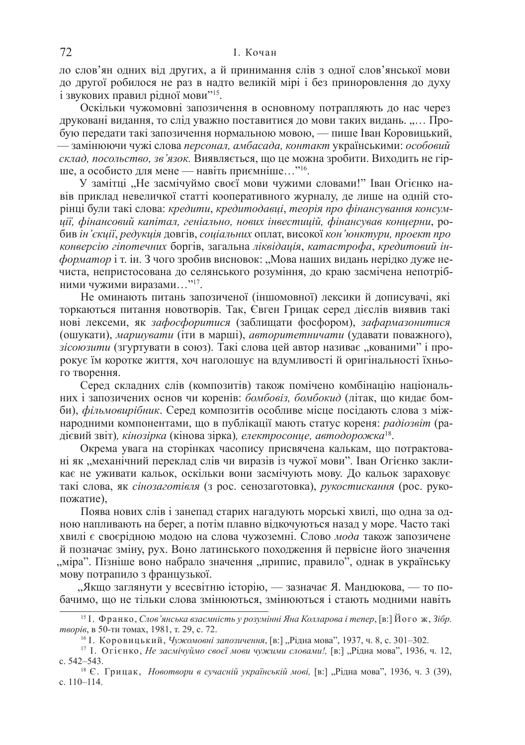ло слов'ян одних від других, а й принимання слів з одної слов'янської мови до другої робилося не раз в надто великій мірі і без приноровлення до духу і звукових правил рідної мови"<sup>15</sup>.

Оскільки чужомовні запозичення в основному потрапляють до нас через друковані видання, то слід уважно поставитися до мови таких видань. "... Пробую передати такі запозичення нормальною мовою, — пише Іван Коровицький, — замінюючи чужі слова персонал, амбасада, контакт українськими: особовий склад, посольство, зв'язок. Виявляється, що це можна зробити. Виходить не гірше, а особисто для мене — навіть приємніше..."<sup>16</sup>.

У замітці "Не засмічуймо своєї мови чужими словами!" Іван Огієнко навів приклад невеличкої статті кооперативного журналу, де лише на одній сторінці були такі слова: кредити, кредитодавці, теорія про фінансування консум $y$ иї, фінансовий капітал, геніально, нових інвестицій, фінансував концерни, робив *ін'єкції*, редукція довгів, соціальних оплат, високої кон'юнктури, проект про конверсію гіпотечних боргів, загальна ліквідація, катастрофа, кредитовий ін*форматор* і т. ін. З чого зробив висновок: "Мова наших видань нерідко дуже нечиста, непристосована до селянського розуміння, до краю засмічена непотрібними чужими виразами..."<sup>17</sup>.

Не оминають питань запозиченої (іншомовної) лексики й дописувачі, які торкаються питання новотворів. Так, Євген Грицак серед дієслів виявив такі нові лексеми, як зафосфоритися (заблищати фосфором), зафармазонитися (ошукати), маршувати (iти в маршi), авторитетничати (удавати поважного), зісоюзити (згуртувати в союз). Такі слова цей автор називає "кованими" і пророкує їм коротке життя, хоч наголошує на вдумливості й оригінальності їхнього творення.

Серед складних слів (композитів) також помічено комбінацію національних і запозичених основ чи коренів: бомбовіз, бомбокид (літак, що кидає бомби), фільмовирібник. Серед композитів особливе місце посідають слова з міжнародними компонентами, що в публікації мають статус кореня: *padioзвіт* (радієвий звіт)*, кінозірка* (кінова зірка)*, електросонце, автодорожка*<sup>18</sup>.

Окрема увага на сторінках часопису присвячена калькам, що потрактовані як "механічний переклад слів чи виразів із чужої мови". Іван Огієнко закликає не уживати кальок, оскільки вони засмічують мову. До кальок зараховує такі слова, як *сінозаготівля* (з рос. сенозаготовка), рукостискання (рос. рукопожатие),

Поява нових слів і занепад старих нагадують морські хвилі, що одна за одною напливають на берег, а потім плавно відкочуються назад у море. Часто такі хвилі є своєрідною модою на слова чужоземні. Слово мода також запозичене й позначає зміну, рух. Воно латинського походження й первісне його значення "міра". Пізніше воно набрало значення "припис, правило", однак в українську мову потрапило з французької.

"Якщо заглянути у всесвітню історію, — зазначає Я. Мандюкова, — то побачимо, що не тільки слова змінюються, змінюються і стають модними навіть

<sup>&</sup>lt;sup>15</sup> <sup>1</sup>. Франко, *Слов'янська взаємність у розумінні Яна Колларова і тепер*, [в:] Його ж, Зібр. *mворів*, в 50-ти томах, 1981, т. 29, с. 72.

<sup>&</sup>lt;sup>16</sup> І. Коровицький, Чужомовні запозичення, [в:] "Рідна мова", 1937, ч. 8, с. 301–302.

<sup>&</sup>lt;sup>17</sup> І. Отієнко, *Не засмічуймо своєї мови чужими словами!*, [в:] "Рідна мова", 1936, ч. 12, c. 542–543.

<sup>&</sup>lt;sup>18</sup> Є. Грицак, *Новотвори в сучасній українській мові*, [в:] "Рідна мова", 1936, ч. 3 (39), c. 110–114.